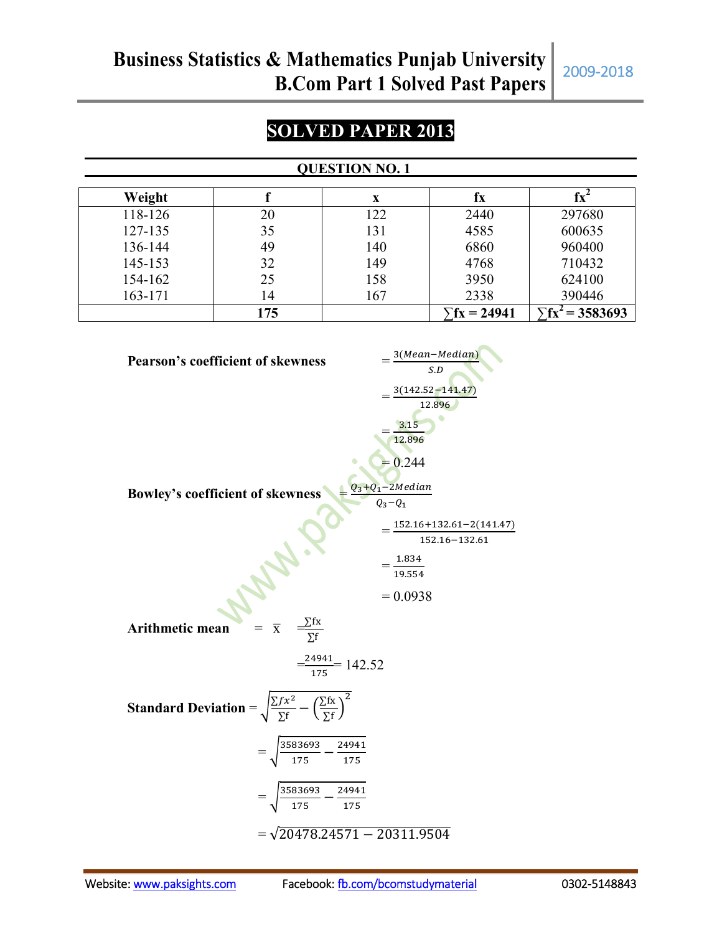# **SOLVED PAPER 2013**

#### **QUESTION NO. 1**

| Weight  |     | X   | ŤХ                   |             |
|---------|-----|-----|----------------------|-------------|
| 118-126 | 20  | 122 | 2440                 | 297680      |
| 127-135 | 35  | 131 | 4585                 | 600635      |
| 136-144 | 49  | 140 | 6860                 | 960400      |
| 145-153 | 32  | 149 | 4768                 | 710432      |
| 154-162 | 25  | 158 | 3950                 | 624100      |
| 163-171 | 14  | 167 | 2338                 | 390446      |
|         | 175 |     | $\bar{r}$ fx = 24941 | $= 3583693$ |

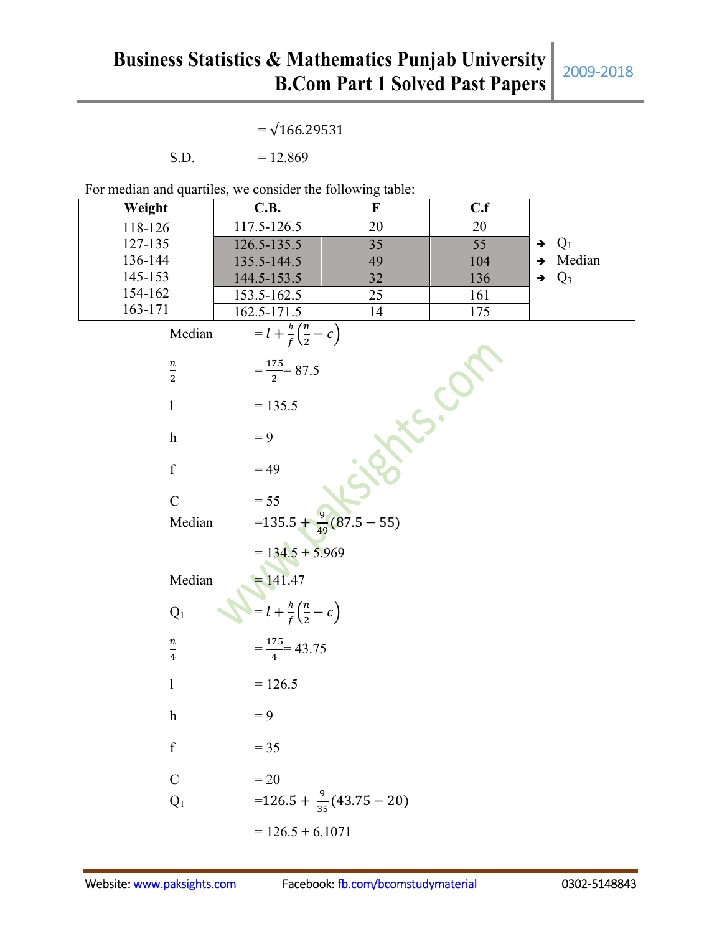|                                                            | $=\sqrt{166.29531}$                                |                                        |     |                         |
|------------------------------------------------------------|----------------------------------------------------|----------------------------------------|-----|-------------------------|
| S.D.                                                       | $= 12.869$                                         |                                        |     |                         |
| For median and quartiles, we consider the following table: |                                                    |                                        |     |                         |
| Weight                                                     | C.B.                                               | $\mathbf F$                            | C.f |                         |
| 118-126                                                    | 117.5-126.5                                        | 20                                     | 20  |                         |
| 127-135                                                    | 126.5-135.5                                        | 35                                     | 55  | $Q_1$<br>$\rightarrow$  |
| 136-144                                                    | 135.5-144.5                                        | 49                                     | 104 | Median<br>$\rightarrow$ |
| 145-153                                                    | 144.5-153.5                                        | 32                                     | 136 | $Q_3$<br>$\rightarrow$  |
| 154-162                                                    | 153.5-162.5                                        | 25                                     | 161 |                         |
| 163-171                                                    | 162.5-171.5                                        | 14                                     | 175 |                         |
| Median                                                     | $= l + \frac{h}{f} \left( \frac{n}{2} - c \right)$ |                                        |     |                         |
|                                                            |                                                    |                                        |     |                         |
| $\frac{n}{2}$                                              | $=\frac{175}{2}$ 87.5                              |                                        |     |                         |
| $\mathbf{1}$                                               | $= 135.5$                                          |                                        |     |                         |
| $\boldsymbol{h}$                                           | $= 9$                                              |                                        |     |                         |
| $\mathbf f$                                                | $= 49$                                             |                                        |     |                         |
| $\overline{C}$                                             | $= 55$                                             |                                        |     |                         |
| Median                                                     |                                                    | $=$ 135.5 + $\frac{9}{49}$ (87.5 – 55) |     |                         |
|                                                            | $= 134.5 + 5.969$                                  |                                        |     |                         |
| Median                                                     | = 141.47<br>= $l + \frac{h}{f}(\frac{n}{2} - c)$   |                                        |     |                         |
| $Q_1$                                                      |                                                    |                                        |     |                         |
| n<br>$\overline{4}$                                        | $=\frac{175}{4}$ 43.75                             |                                        |     |                         |
| $\mathbf{1}$                                               | $= 126.5$                                          |                                        |     |                         |
| $\boldsymbol{\mathrm{h}}$                                  | $= 9$                                              |                                        |     |                         |
| $\mathbf f$                                                | $= 35$                                             |                                        |     |                         |
| $\mathbf C$                                                | $=20$                                              |                                        |     |                         |
| $\mathbf{Q}_1$                                             |                                                    | $=126.5+\frac{9}{35}(43.75-20)$        |     |                         |
|                                                            | $= 126.5 + 6.1071$                                 |                                        |     |                         |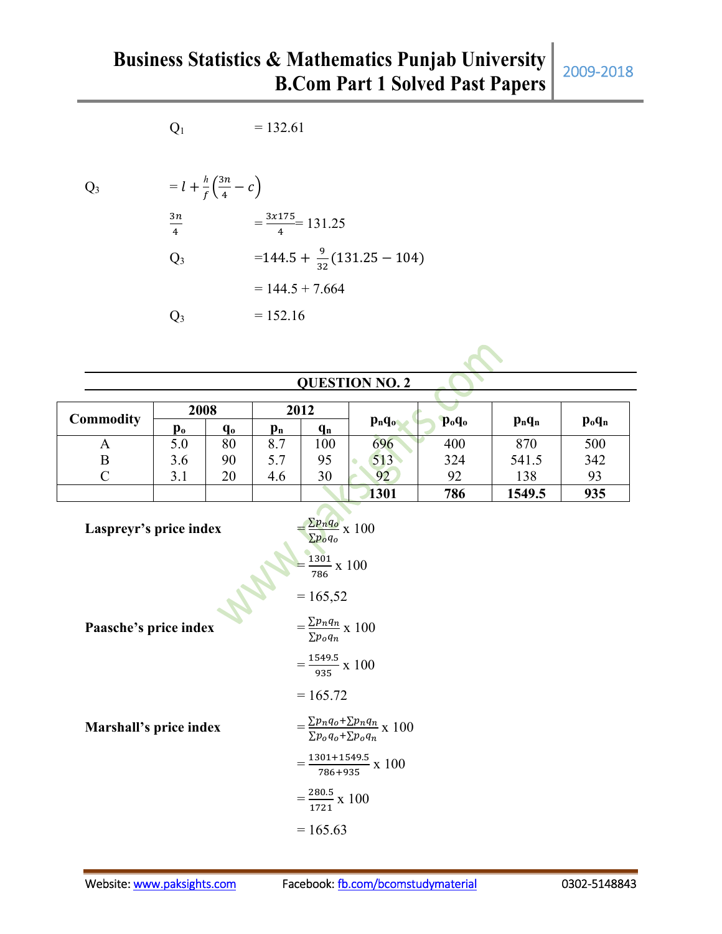# **Business Statistics & Mathematics Punjab University B.Com Part 1 Solved Past Papers** 2009-2018

 $Q_1$  = 132.61

 $h(3n)$ 

Q<sub>3</sub> = 
$$
l + \frac{h}{f}(\frac{3n}{4} - c)
$$
  
\n
$$
\frac{3n}{4} = \frac{3 \times 175}{4} = 131.25
$$
\nQ<sub>3</sub> = 144.5 +  $\frac{9}{32}$ (131.25 - 104)  
\n= 144.5 + 7.664  
\nQ<sub>3</sub> = 152.16

**QUESTION NO. 2**

| <b>Commodity</b> | 2008           |         | 2012                      |                           |          |                               |           |                                |
|------------------|----------------|---------|---------------------------|---------------------------|----------|-------------------------------|-----------|--------------------------------|
|                  | p <sub>o</sub> | $q_{0}$ | $\mathbf{p}_{\mathbf{n}}$ | $\mathbf{q}_{\mathbf{n}}$ | $p_nq_o$ | p <sub>o</sub> q <sub>o</sub> | $p_n q_n$ | $\mathbf{p}_{o}\mathbf{q}_{n}$ |
| A                | 5.0            | 80      | 8.7                       | 100                       | 696      | 400                           | 870       | 500                            |
| B                | 3.6            | 90      | 5.7                       | 95                        | 513      | 324                           | 541.5     | 342                            |
|                  | 3.1            | 20      | 4.6                       | 30                        | 92       | 92                            | 138       | 93                             |
|                  |                |         |                           |                           | 1301     | 786                           | 1549.5    | 935                            |

Laspreyr's price index  $\Sigma p_n q_o$  $\frac{\sum p_n q_o}{\sum p_o q_o} \ge 100$  $=\frac{1301}{706}$  $\frac{1301}{786}$  x 100  $= 165,52$ Paasche's price index  $\Sigma p_n q_n$  $\frac{\sum p_n q_n}{\sum p_o q_n} \ge 100$  $=\frac{1549.5}{025}$  $\frac{343.5}{935}$  x 100  $= 165.72$ **Marshall's price index**  $\Sigma p_n q_o + \Sigma p_n q_n$  $\frac{\sum p_n q_0 + \sum p_n q_n}{\sum p_o q_o + \sum p_o q_n} \ge 100$  $=\frac{1301+1549.5}{706+035}$  $\frac{301+1349.5}{786+935} \times 100$  $=\frac{280.5}{1734}$  $\frac{280.5}{1721}$  x 100  $= 165.63$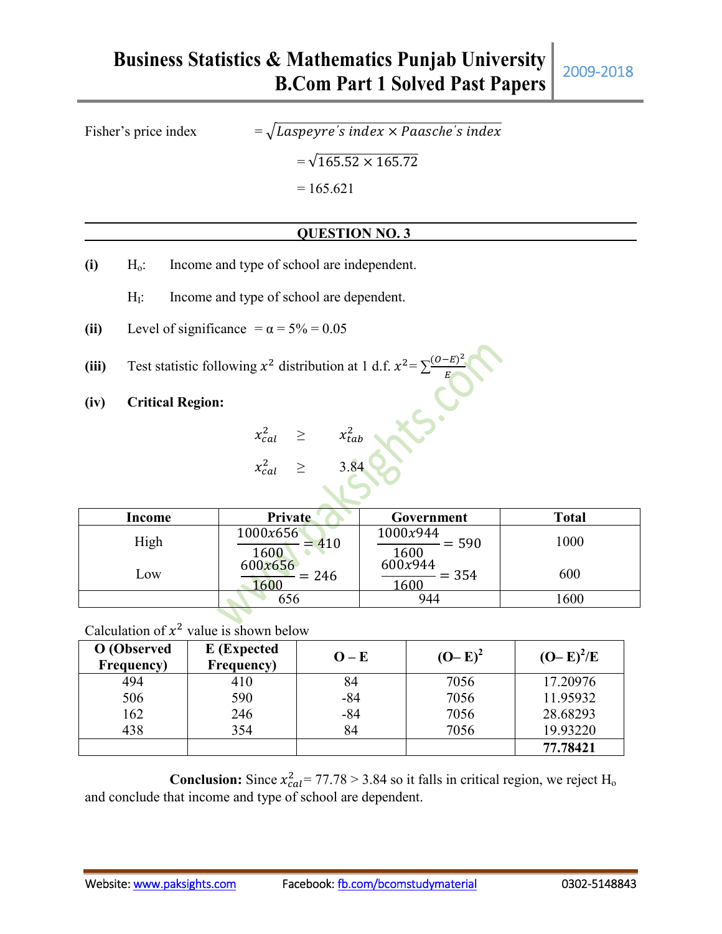# **Business Statistics & Mathematics Punjab University B.Com Part 1 Solved Past Papers** 2009-2018

Fisher's price index

 $s$   $index \times$   $P aasche's$   $index$ 

 $=\sqrt{165.52 \times 165.72}$ 

 $= 165.621$ 

## **QUESTION NO. 3**

- **(i)** H<sub>o</sub>: Income and type of school are independent.
	- $H<sub>I</sub>$ : Income and type of school are dependent.
- (ii) Level of significance  $= \alpha = 5\% = 0.05$
- (iii) Test statistic following  $x^2$  distribution at 1 d.f.  $x^2 = \sum_{k=0}^{(0-E)^2}$

**(iv) Critical Region:**

 $x_{cal}^2 \geq x_{tab}^2$ 

 $x_{cal}^2 \geq 3.84$ 

| Income | <b>Private</b>          | Government                              | <b>Total</b> |
|--------|-------------------------|-----------------------------------------|--------------|
| High   | 1000x656<br>410<br>1600 | 1000x944<br>$= 590$<br>$\frac{1600}{ }$ | 1000         |
| Low    | 600x656<br>$= 246$      | 600x944<br>$= 354$<br>1600              | 600          |
|        | 656                     | 944                                     | 600          |

Calculation of  $x^2$  value is shown below

| O (Observed<br>Frequency) | E (Expected<br>Frequency) | $O - E$ | $(O-E)^2$ | $(O-E)^2/E$ |
|---------------------------|---------------------------|---------|-----------|-------------|
| 494                       | 410                       | 84      | 7056      | 17.20976    |
| 506                       | 590                       | $-84$   | 7056      | 11.95932    |
| 162                       | 246                       | $-84$   | 7056      | 28.68293    |
| 438                       | 354                       | 84      | 7056      | 19.93220    |
|                           |                           |         |           | 77.78421    |

**Conclusion:** Since  $x_{cal}^2 = 77.78 > 3.84$  so it falls in critical region, we reject H<sub>o</sub> and conclude that income and type of school are dependent.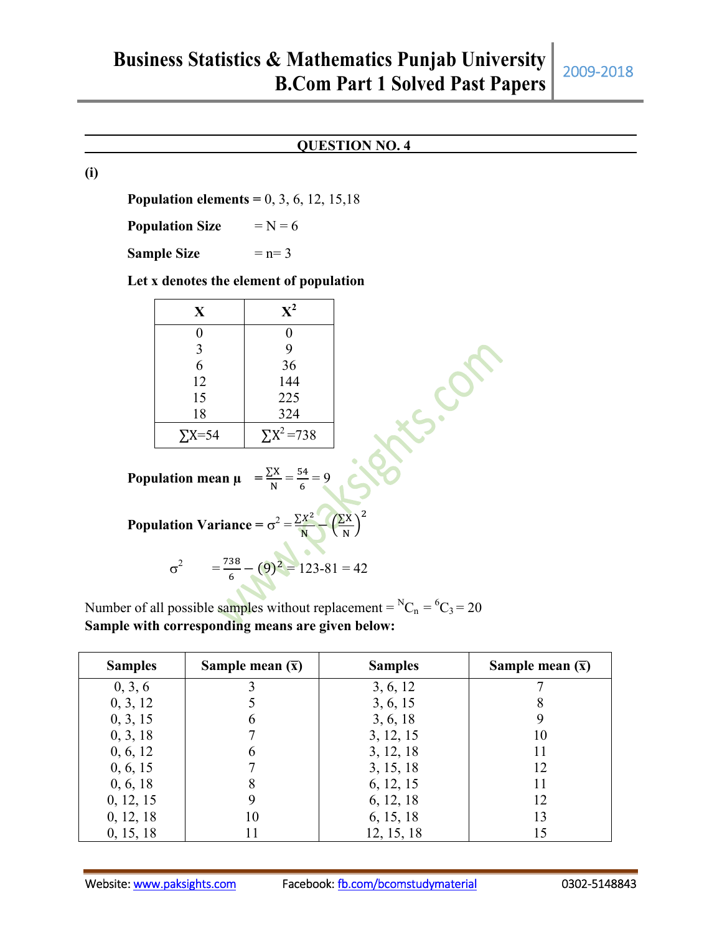### **QUESTION NO. 4**

**(i)**

**Population elements =** 0, 3, 6, 12, 15,18

**Population Size**  $=N = 6$ 

**Sample Size**  $= n= 3$ 

#### **Let x denotes the element of population**

| $\mathbf X$   | ${\bf X}^2$        |
|---------------|--------------------|
| 0             | 0                  |
| 3             | 9                  |
| 6             | 36                 |
| 12            | 144                |
| 15            | 225                |
| 18            | 324                |
| $\Sigma$ X=54 | $\Sigma X^2 = 738$ |

Population mean 
$$
\mu = \frac{\sum X}{N} = \frac{54}{6} = 9
$$

| 0           | 0              |
|-------------|----------------|
| 3           | 9              |
| 6           | 36             |
| 12          | 144            |
| 15          | 225            |
| 18          | 324            |
| $\sum X=54$ | $\sum X^2=738$ |

\nPopulation mean  $\mu = \frac{\sum X}{N} = \frac{54}{6} = 9$ 

\nPopulation Variance  $= \sigma^2 = \frac{\sum X^2}{N} (\frac{\sum X}{N})^2$ 

$$
\sigma^2 = \frac{738}{6} - (9)^2 = 123 - 81 = 42
$$

Number of all possible samples without replacement =  ${}^NC_n = {}^6C_3 = 20$ **Sample with corresponding means are given below:**

| <b>Samples</b> | Sample mean $(\bar{x})$ | <b>Samples</b> | Sample mean $(\bar{x})$ |
|----------------|-------------------------|----------------|-------------------------|
| 0, 3, 6        |                         | 3, 6, 12       |                         |
| 0, 3, 12       |                         | 3, 6, 15       | 8                       |
| 0, 3, 15       | 6                       | 3, 6, 18       |                         |
| 0, 3, 18       |                         | 3, 12, 15      | 10                      |
| 0, 6, 12       | 6                       | 3, 12, 18      |                         |
| 0, 6, 15       |                         | 3, 15, 18      | 12                      |
| 0, 6, 18       | 8                       | 6, 12, 15      | 11                      |
| 0, 12, 15      | 9                       | 6, 12, 18      | 12                      |
| 0, 12, 18      | 10                      | 6, 15, 18      | 13                      |
| 0, 15, 18      | 11                      | 12, 15, 18     |                         |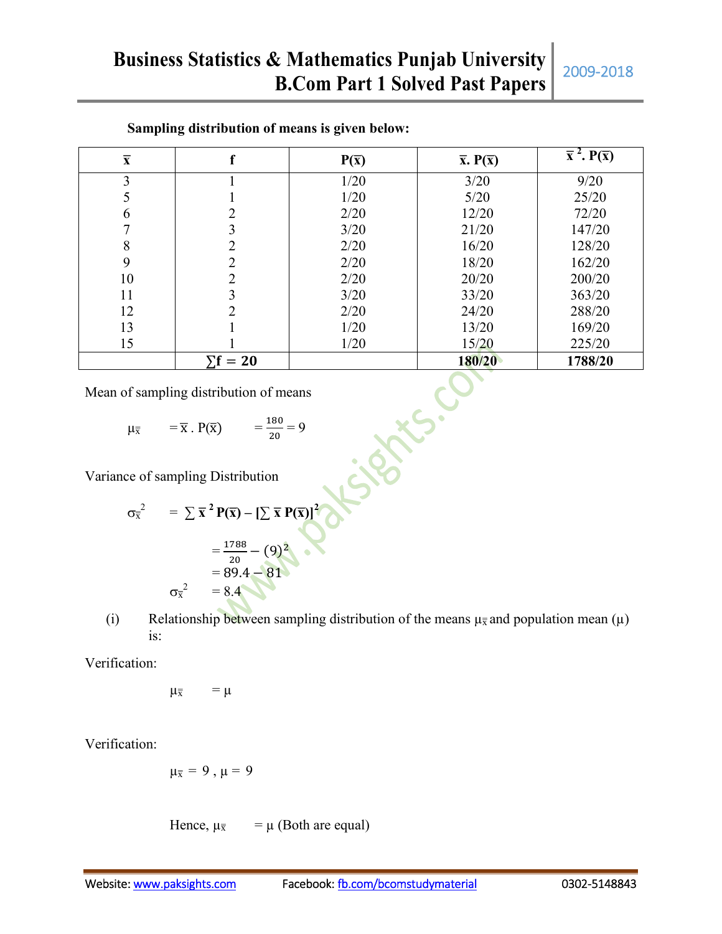| $\overline{\mathbf{X}}$                                                                                 | f                                          | $P(\overline{x})$ | $\overline{x}$ . $P(\overline{x})$ | $\overline{\overline{x}^2}$ . $\overline{P}(\overline{x})$ |  |
|---------------------------------------------------------------------------------------------------------|--------------------------------------------|-------------------|------------------------------------|------------------------------------------------------------|--|
| $\mathfrak{Z}$                                                                                          | $\mathbf{1}$                               | 1/20              | 3/20                               | 9/20                                                       |  |
| 5                                                                                                       | $\mathbf{1}$                               | 1/20              | 5/20                               | 25/20                                                      |  |
| $\sqrt{6}$                                                                                              |                                            | 2/20              | 12/20                              | 72/20                                                      |  |
| $\overline{7}$                                                                                          | $\begin{array}{c} 2 \\ 3 \\ 2 \end{array}$ | 3/20              | 21/20                              | 147/20                                                     |  |
| 8                                                                                                       |                                            | 2/20              | 16/20                              | 128/20                                                     |  |
| 9                                                                                                       | $\overline{2}$                             | 2/20              | 18/20                              | 162/20                                                     |  |
| 10                                                                                                      | $\overline{c}$                             | 2/20              | 20/20                              | 200/20                                                     |  |
| 11                                                                                                      | $\overline{3}$                             | 3/20              | 33/20                              | 363/20                                                     |  |
| 12                                                                                                      | $\overline{2}$                             | 2/20              | 24/20                              | 288/20                                                     |  |
| 13                                                                                                      | $\mathbf{1}$                               | 1/20              | 13/20                              | 169/20                                                     |  |
| 15                                                                                                      |                                            | 1/20              | 15/20                              | 225/20                                                     |  |
|                                                                                                         | $\Sigma f = 20$                            |                   | 180/20                             | 1788/20                                                    |  |
| Mean of sampling distribution of means                                                                  |                                            |                   |                                    |                                                            |  |
| $=\frac{180}{20}=9$<br>$=\overline{x} \cdot P(\overline{x})$<br>$\mu_{\overline{x}}$                    |                                            |                   |                                    |                                                            |  |
| Variance of sampling Distribution                                                                       |                                            |                   |                                    |                                                            |  |
| $\sigma_{\overline{x}}^2 = \sum \overline{x}^2 P(\overline{x}) - [\sum \overline{x} P(\overline{x})]^2$ |                                            |                   |                                    |                                                            |  |

#### **Sampling distribution of means is given below:**

$$
\mu_{\overline{x}} = \overline{x} \cdot P(\overline{x}) = \frac{180}{20} = 9
$$

$$
\sigma_{\overline{x}}^2 = \sum \overline{x}^2 P(\overline{x}) - [\sum \overline{x} P(\overline{x})]^2
$$
  
=  $\frac{1788}{20} - (9)^2$   
= 89.4 - 81  
 $\sigma_{\overline{x}}^2 = 8.4$ 

(i) Relationship between sampling distribution of the means  $\mu_{\overline{x}}$  and population mean ( $\mu$ ) is:

Verification:

$$
\mu_{\overline{x}} = \mu
$$

Verification:

$$
\mu_{\overline{x}}=9\ ,\ \mu=9
$$

Hence,  $\mu_{\overline{x}} = \mu$  (Both are equal)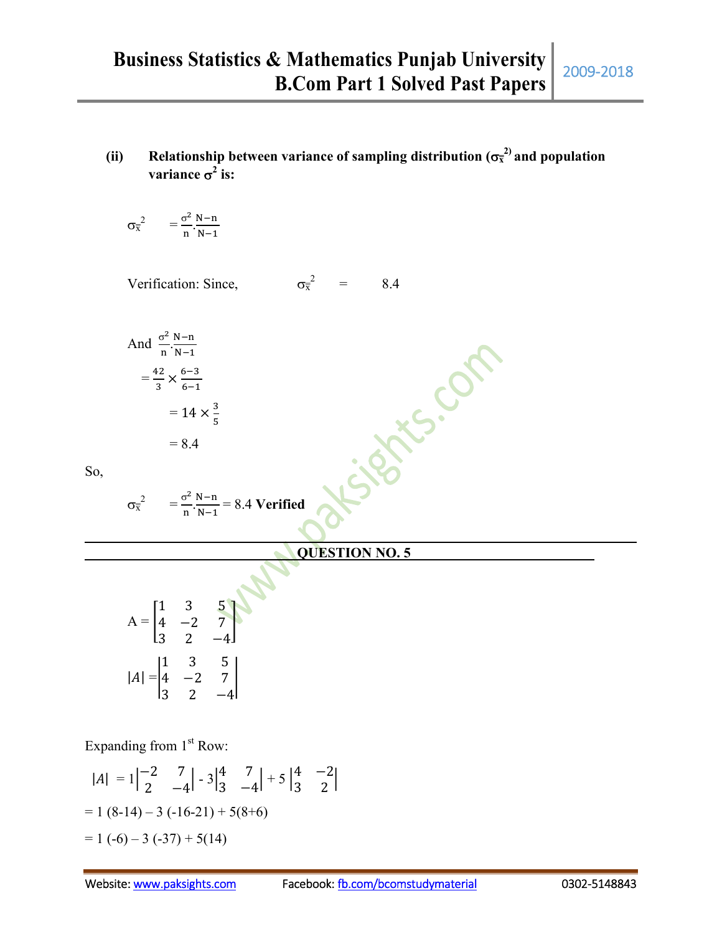(ii) Relationship between variance of sampling distribution  $(\sigma_{\overline{x}}^2)$  and population **variance**  $\sigma^2$  **is:** 

$$
\sigma_{\overline{x}}^2 \quad \ = \frac{\sigma^2}{n} \frac{N\!-\!n}{N\!-\!1}
$$

Verification: Since,  $\sigma_{\overline{x}}^2$  $=$  8.4

And 
$$
\frac{\sigma^2}{n} \cdot \frac{N-n}{N-1}
$$

$$
= \frac{42}{3} \times \frac{6-3}{6-1}
$$

$$
= 14 \times 12
$$

$$
= 8.4
$$

So,

$$
\sigma_{\overline{x}}^2 = \frac{\sigma^2}{n} \cdot \frac{N-n}{N-1} = 8.4 \text{ Verified}
$$

3 5

### **QUESTION NO. 5**

Tre.com

| $\equiv$<br>$\mathbf{A}$                          | $\begin{bmatrix} 1 \\ 4 \\ 3 \end{bmatrix}$ | 3<br>$^{-2}$<br>$\overline{2}$ | $\frac{5}{7}$ |
|---------------------------------------------------|---------------------------------------------|--------------------------------|---------------|
| $ A  = \begin{vmatrix} 1 \\ 4 \\ 3 \end{vmatrix}$ |                                             | 3<br>$^{-2}$<br>2              | $\frac{5}{7}$ |

Expanding from  $1<sup>st</sup>$  Row:

$$
|A| = 1\begin{vmatrix} -2 & 7 \\ 2 & -4 \end{vmatrix} - 3\begin{vmatrix} 4 & 7 \\ 3 & -4 \end{vmatrix} + 5\begin{vmatrix} 4 & -2 \\ 3 & 2 \end{vmatrix}
$$
  
= 1 (8-14) – 3 (-16-21) + 5(8+6)  
= 1 (-6) – 3 (-37) + 5(14)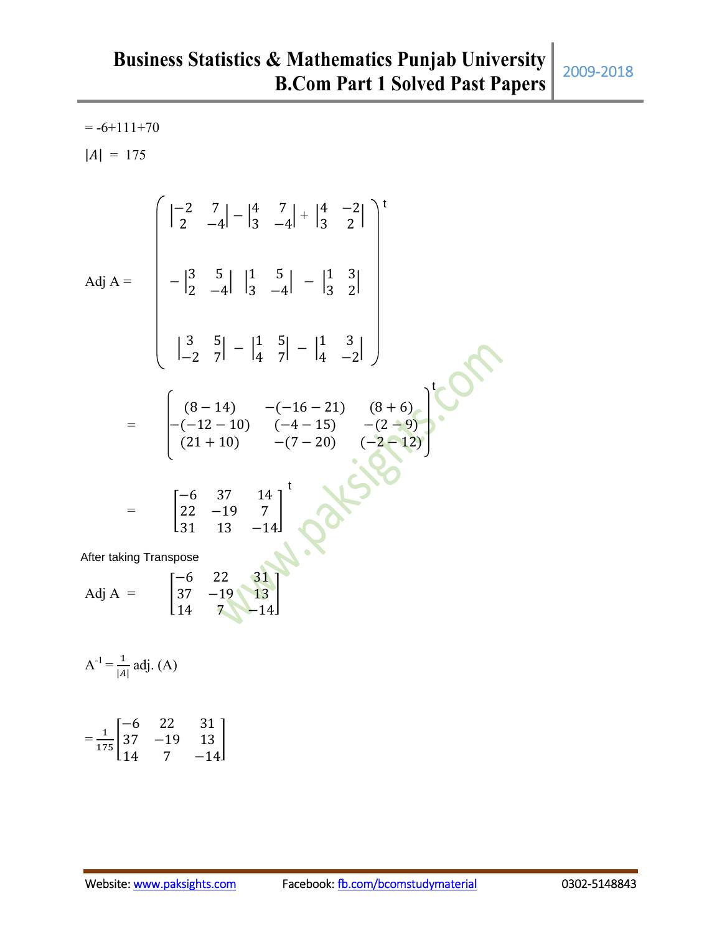$= -6+111+70$  $|A| = 175$ 

 −2 7 2 −4 − 4 7 3 −4 + 4 −2 <sup>3</sup> <sup>2</sup> Adj A = − 3 5 2 −4 1 5 3 −4 − 1 3 3 2 <sup>3</sup> <sup>5</sup> −2 7 − 1 5 4 7 − 1 3 4 −2 = (8 − 14) −(−16 − 21) (8 + 6) −(−12 − 10) (−4 − 15) −(2 − 9) (21 + 10) −(7 − 20) (−2 − 12) = −6 37 14 22 −19 7 31 13 −14 Adj A = −6 22 31 37 −19 13 14 7 −14 t t t After taking Transpose

$$
A^{-1} = \frac{1}{|A|}
$$
 adj. (A)

$$
=\frac{1}{175}\begin{bmatrix} -6 & 22 & 31 \\ 37 & -19 & 13 \\ 14 & 7 & -14 \end{bmatrix}
$$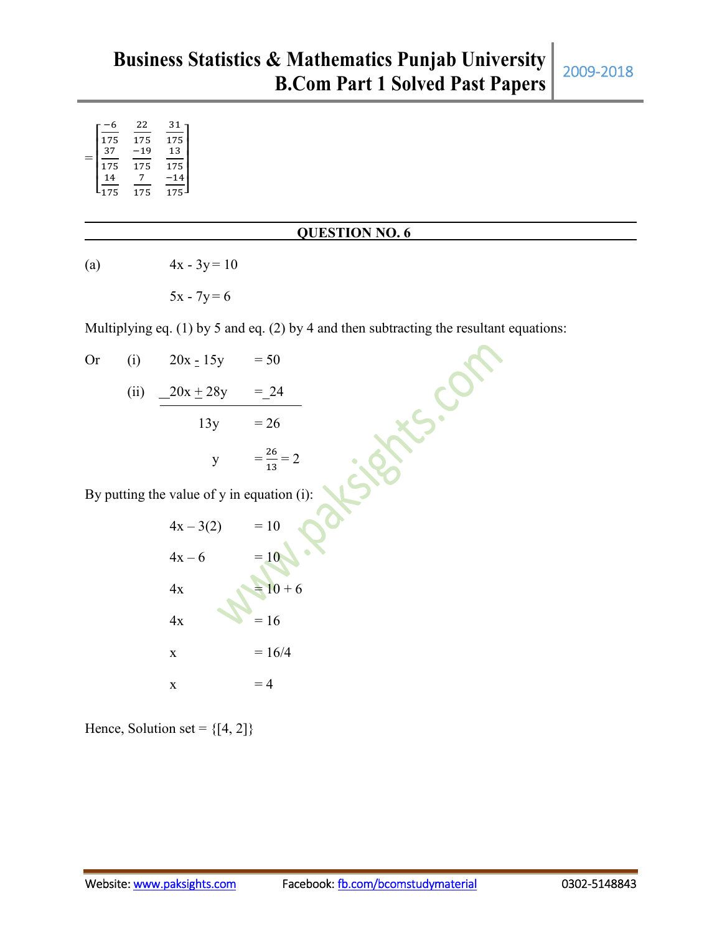|     | 22    | 31  |
|-----|-------|-----|
| 175 | 175   | 175 |
| 37  | $-19$ | 13  |
| 175 | 175   | 175 |
| 14  |       | 14  |
| 175 | 175   | 175 |
|     |       |     |

#### **QUESTION NO. 6**

(a)  $4x - 3y = 10$ 

 $5x - 7y = 6$ 

Multiplying eq. (1) by 5 and eq. (2) by 4 and then subtracting the resultant equations:

| Or | (i)  | $20x - 15y$                                  | $= 50$             |
|----|------|----------------------------------------------|--------------------|
|    | (ii) | $20x + 28y$                                  | $= 24$             |
|    |      | 13y                                          | $= 26$             |
|    |      | $\mathbf{y}$                                 | $=\frac{26}{13}=2$ |
|    |      | By putting the value of $y$ in equation (i): |                    |
|    |      | $4x - 3(2) = 10$                             |                    |
|    |      | $4x - 6$                                     | $=10$              |
|    |      | 4x                                           | $= 10 + 6$         |
|    |      | 4x                                           | $= 16$             |
|    |      | $\mathbf X$                                  | $= 16/4$           |
|    |      | X                                            | $=4$               |

Hence, Solution set =  $\{[4, 2]\}$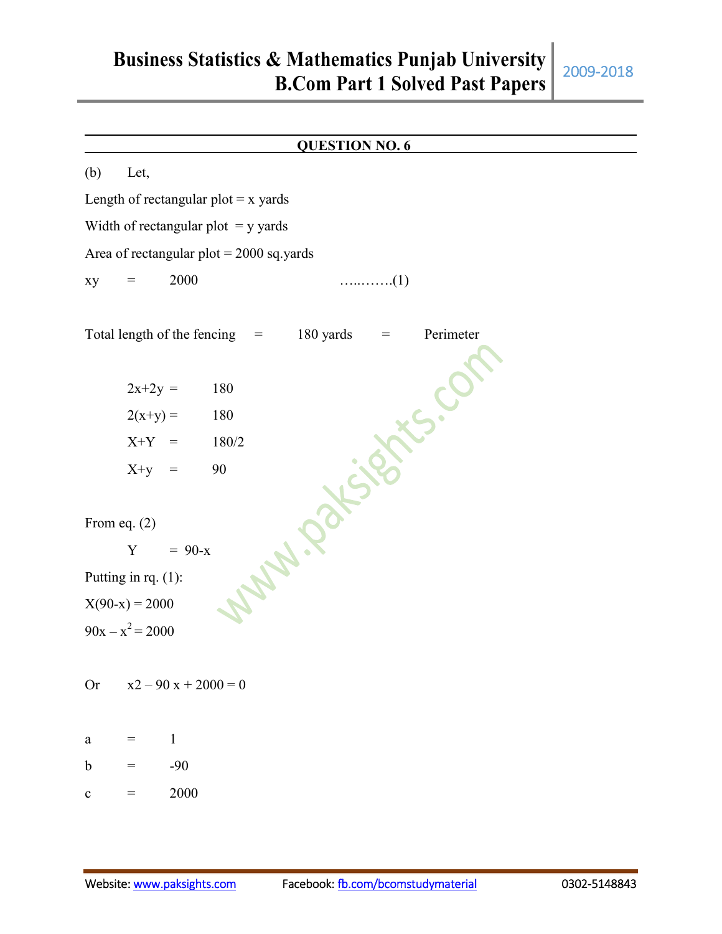# **Business Statistics & Mathematics Punjab University B.Com Part 1 Solved Past Papers** 2009-2018

**QUESTION NO. 6** (b) Let, Length of rectangular  $plot = x$  yards Width of rectangular plot  $=$  y yards Area of rectangular  $plot = 2000$  sq.yards xy = 2000 …..…….(1) Total length of the fencing = 180 yards = Perimeter<br>  $2x+2y = 180$ <br>  $2(x+y) = 180$ <br>  $X+Y = 180/2$ <br>  $X+y = 90$ <br>
From eq. (2)<br>  $Y = 90-x$ <br>
Putting in rq. (1):<br>  $X(90-x) = 2000$ <br>  $90x-x^2 = 2r^2$  $2x+2y = 180$  $2(x+y) = 180$  $X+Y = 180/2$  $X+y = 90$ From eq. (2)  $Y = 90-x$ Putting in rq. (1):  $X(90-x) = 2000$  $90x - x^2 = 2000$ Or  $x^2 - 90x + 2000 = 0$ a =  $1$ b  $=$  -90 c  $= 2000$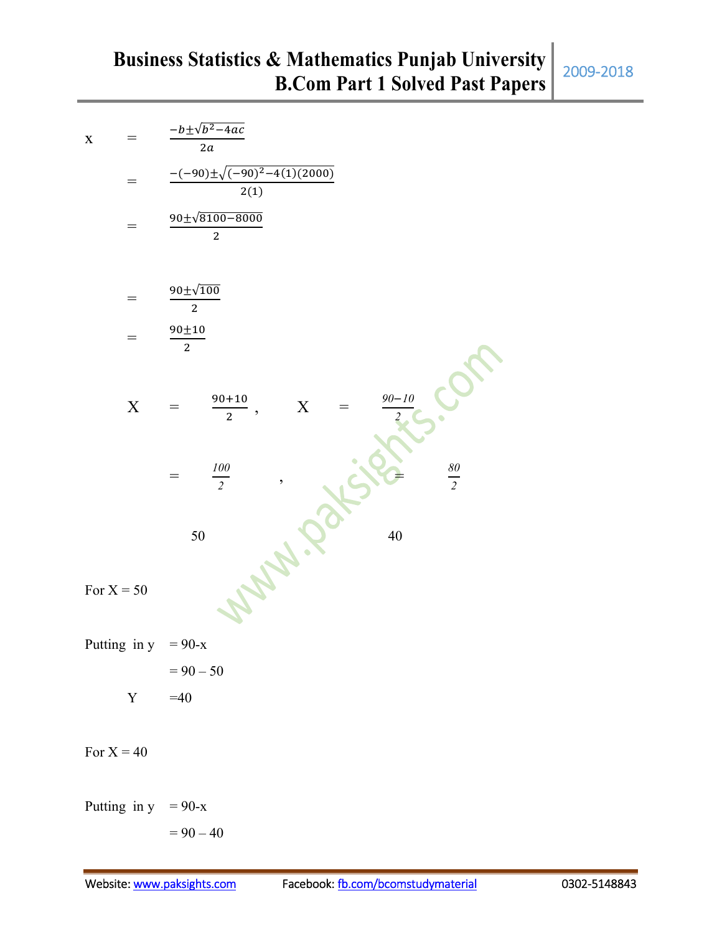| $\mathbf X$           | $-b \pm \sqrt{b^2-4ac}$<br>2a                                 |
|-----------------------|---------------------------------------------------------------|
| $\equiv$              | $-(-90)\pm\sqrt{(-90)^2-4(1)(2000)}$<br>2(1)                  |
|                       | $90 \pm \sqrt{8100 - 8000}$<br>$\overline{2}$                 |
| $=$                   | $90 \pm \sqrt{100}$<br>$\overline{2}$                         |
|                       | $90{\pm}10$<br>$\overline{c}$                                 |
| $\mathbf X$           | $90 - 10$<br>$90 + 10$<br>$\mathbf X$<br>$\overline{2}$<br>,  |
|                       | $\frac{80}{2}$<br>$\frac{100}{2}$<br>$\overline{\phantom{a}}$ |
|                       | 50<br>40                                                      |
| For $X = 50$          |                                                               |
| Putting in $y = 90-x$ |                                                               |
|                       | $= 90 - 50$                                                   |
|                       | $Y = 40$                                                      |
| For $X = 40$          |                                                               |
| Putting in $y = 90-x$ |                                                               |
|                       | $= 90 - 40$                                                   |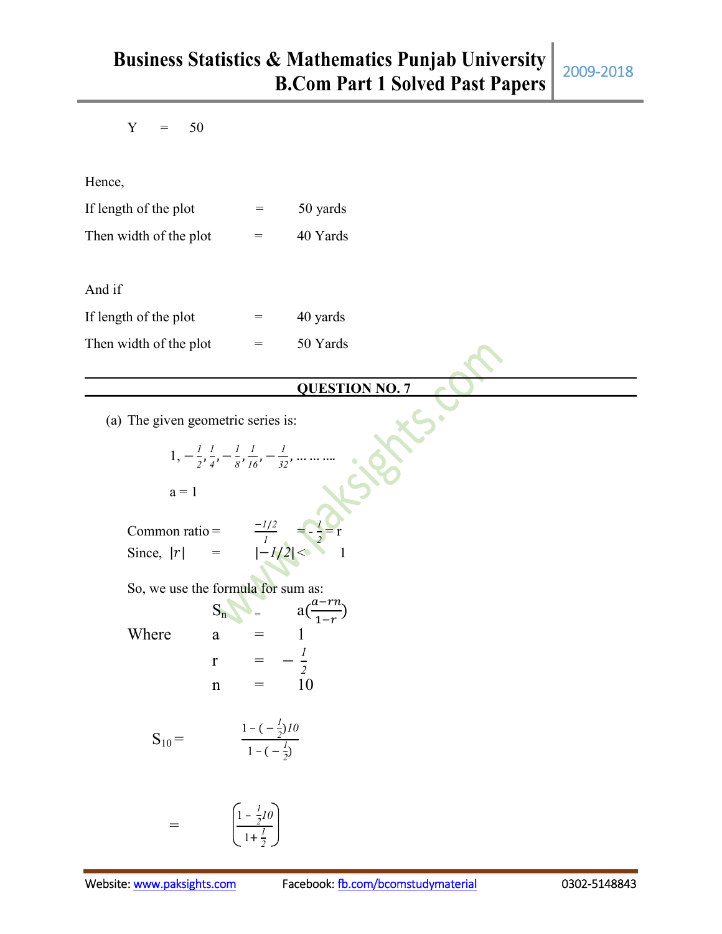$Y = 50$ 

Hence,

| If length of the plot  | $=$ | 50 yards |
|------------------------|-----|----------|
| Then width of the plot | $=$ | 40 Yards |

And if

| If length of the plot  | $=$ | 40 yards |
|------------------------|-----|----------|
| Then width of the plot | $=$ | 50 Yards |

### **QUESTION NO. 7**

(a) The given geometric series is:

$$
1, -\frac{1}{2}, \frac{1}{4}, -\frac{1}{8}, \frac{1}{16}, -\frac{1}{32}, \dots \dots
$$
  
\n
$$
a = 1
$$
  
\nCommon ratio = 
$$
\frac{-1/2}{1} = -\frac{1}{2} = r
$$
  
\nSince,  $|r| = \frac{-1/2}{1 - 1/2} < 1$   
\nSo, we use the formula for sum as:  
\n
$$
S_n = a\left(\frac{a - rn}{1 - r}\right)
$$
  
\nWhere 
$$
a = 1
$$

$$
f_{\rm{max}}
$$

$$
\begin{array}{rcl}\nr & = & -\frac{l}{2} \\
n & = & 10\n\end{array}
$$

$$
S_{10} = \frac{1 - (-\frac{1}{2})10}{1 - (-\frac{1}{2})}
$$

$$
= \qquad \qquad \left(\frac{1-\frac{1}{2}I\dot{\theta}}{1+\frac{I}{2}}\right)
$$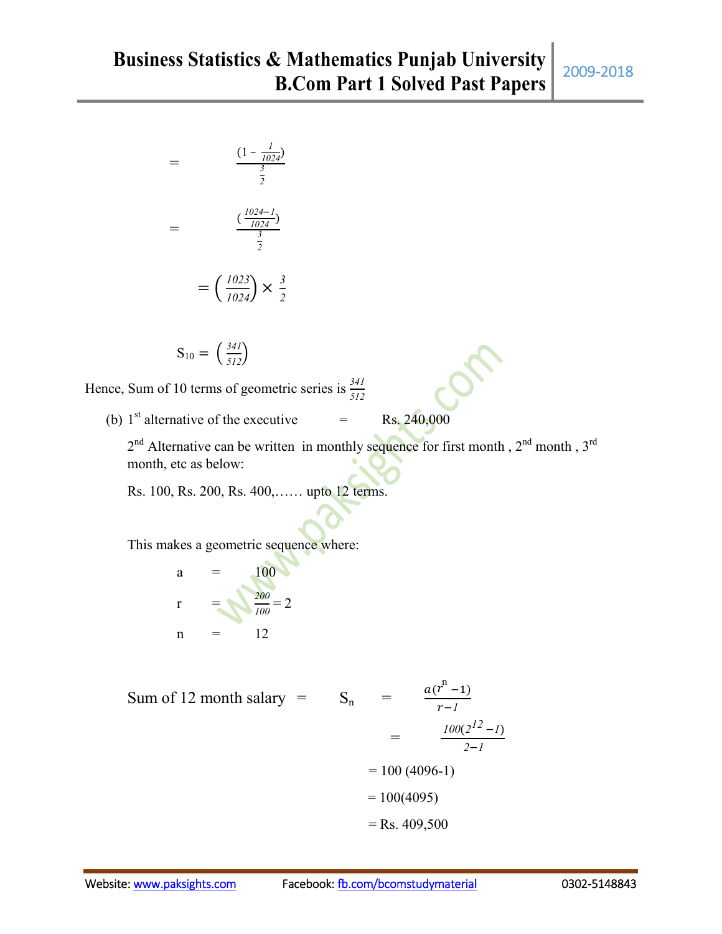$$
= \frac{\frac{(1 - \frac{1}{1024})}{\frac{3}{2}}}{\frac{2}{2}}
$$

$$
= \frac{\frac{(\frac{1024 - 1}{1024})}{\frac{3}{2}}}{\frac{3}{2}}
$$

$$
= \left(\frac{1023}{1024}\right) \times \frac{3}{2}
$$

$$
S_{10} = \left(\frac{341}{512}\right)
$$

Hence, Sum of 10 terms of geometric series is *<sup>341</sup> 512*

(b)  $1<sup>st</sup>$  alternative of the executive  $=$  Rs. 240,000  $2<sup>nd</sup>$  Alternative can be written in monthly sequence for first month ,  $2<sup>nd</sup>$  month ,  $3<sup>rd</sup>$ 

month, etc as below:

Rs. 100, Rs. 200, Rs. 400,…… upto 12 terms.

This makes a geometric sequence where:

a = 
$$
\frac{100}{100}
$$
  
r =  $\frac{200}{100} = 2$   
n = 12

Sum of 12 month salary =  $S_n$ 

$$
lary = S_n = \frac{a(r^n - 1)}{r - 1}
$$
  
= 
$$
\frac{100(2^{12} - 1)}{2 - 1}
$$
  
= 100 (4096-1)  
= 100(4095)  
= Rs. 409,500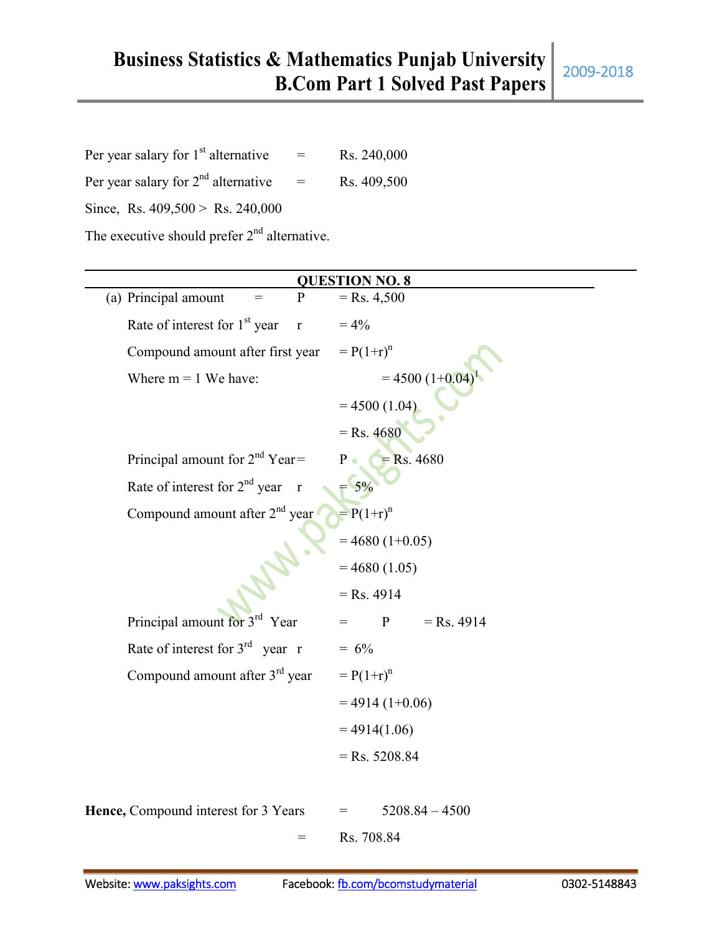| Per year salary for $1st$ alternative          | $=$ | Rs. 240,000 |  |
|------------------------------------------------|-----|-------------|--|
| Per year salary for $2nd$ alternative          | $=$ | Rs. 409,500 |  |
| Since, Rs. $409,500 >$ Rs. 240,000             |     |             |  |
| The executive should prefer $2nd$ alternative. |     |             |  |

| <b>QUESTION NO. 8</b>                                     |                              |  |
|-----------------------------------------------------------|------------------------------|--|
| (a) Principal amount<br>P                                 | $=$ Rs. 4,500                |  |
| Rate of interest for 1 <sup>st</sup> year<br>$\mathbf{r}$ | $= 4\%$                      |  |
| Compound amount after first year                          | $= P(1+r)^n$                 |  |
| Where $m = 1$ We have:                                    | $= 4500 (1+0.04)$            |  |
|                                                           | $= 4500(1.04)$               |  |
|                                                           | $=$ Rs. 4680                 |  |
| Principal amount for $2nd$ Year =                         | $=$ Rs. 4680<br>$P \bullet$  |  |
| Rate of interest for 2 <sup>nd</sup> year<br>$\mathbf{r}$ | $= 5\%$                      |  |
| Compound amount after 2 <sup>nd</sup> year                | $= P(1+r)^n$                 |  |
|                                                           | $= 4680 (1+0.05)$            |  |
|                                                           | $= 4680(1.05)$               |  |
|                                                           | $=$ Rs. 4914                 |  |
| Principal amount for 3 <sup>rd</sup> Year                 | $\mathbf{P}$<br>$=$ Rs. 4914 |  |
| Rate of interest for $3^{rd}$ year r                      | $= 6\%$                      |  |
| Compound amount after $3rd$ year                          | $= P(1+r)^n$                 |  |
|                                                           | $= 4914(1+0.06)$             |  |
|                                                           | $= 4914(1.06)$               |  |
|                                                           | $=$ Rs. 5208.84              |  |
|                                                           |                              |  |
| Hence, Compound interest for 3 Years                      | $5208.84 - 4500$<br>$=$      |  |
| $=$                                                       | Rs. 708.84                   |  |